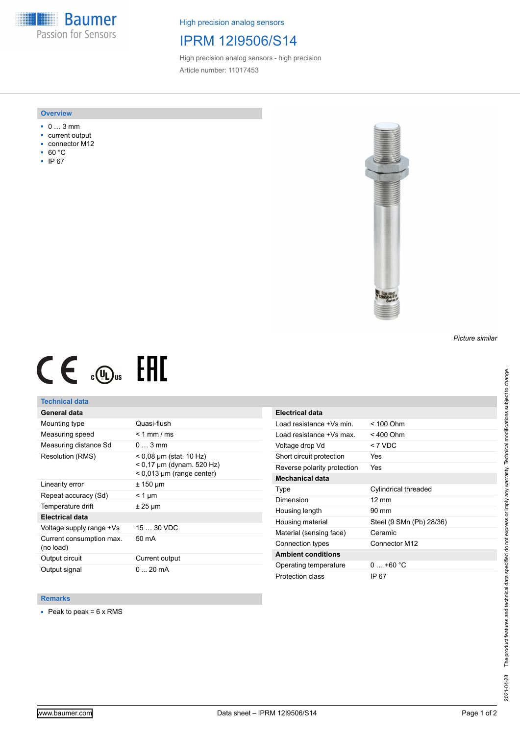**Baumer** Passion for Sensors

High precision analog sensors

# IPRM 12I9506/S14

High precision analog sensors - high precision Article number: 11017453

#### **Overview**

- 0 … 3 mm
- current output
- connector M12
- 60 °C
- IP 67



# $CE \mathcal{L}$  (Dus FRE

## **Technical data**

# **General data**

| Mounting type                         | Quasi-flush                                                                             |
|---------------------------------------|-----------------------------------------------------------------------------------------|
| Measuring speed                       | $< 1$ mm / ms                                                                           |
| Measuring distance Sd                 | $03$ mm                                                                                 |
| Resolution (RMS)                      | $<$ 0,08 µm (stat. 10 Hz)<br>$< 0.17$ µm (dynam. 520 Hz)<br>$< 0.013$ µm (range center) |
| Linearity error                       | ± 150 µm                                                                                |
| Repeat accuracy (Sd)                  | $<$ 1 µm                                                                                |
| Temperature drift                     | ± 25 µm                                                                                 |
| Electrical data                       |                                                                                         |
| Voltage supply range +Vs              | $1530$ VDC                                                                              |
| Current consumption max.<br>(no load) | 50 mA                                                                                   |
| Output circuit                        | Current output                                                                          |
| Output signal                         | $0 \dots 20$ mA                                                                         |

| <b>Electrical data</b>      |                          |
|-----------------------------|--------------------------|
| Load resistance +Vs min.    | < 100 Ohm                |
| Load resistance +Vs max     | < 400 Ohm                |
| Voltage drop Vd             | $<$ 7 VDC                |
| Short circuit protection    | Yes                      |
| Reverse polarity protection | Yes                      |
| Mechanical data             |                          |
| Type                        | Cylindrical threaded     |
| Dimension                   | $12 \text{ mm}$          |
| Housing length              | 90 mm                    |
| Housing material            | Steel (9 SMn (Pb) 28/36) |
| Material (sensing face)     | Ceramic                  |
| Connection types            | Connector M12            |
| <b>Ambient conditions</b>   |                          |
| Operating temperature       | $0+60 °C$                |
| Protection class            | IP 67                    |

### **Remarks**

 $\blacksquare$  Peak to peak = 6 x RMS

*Picture similar*